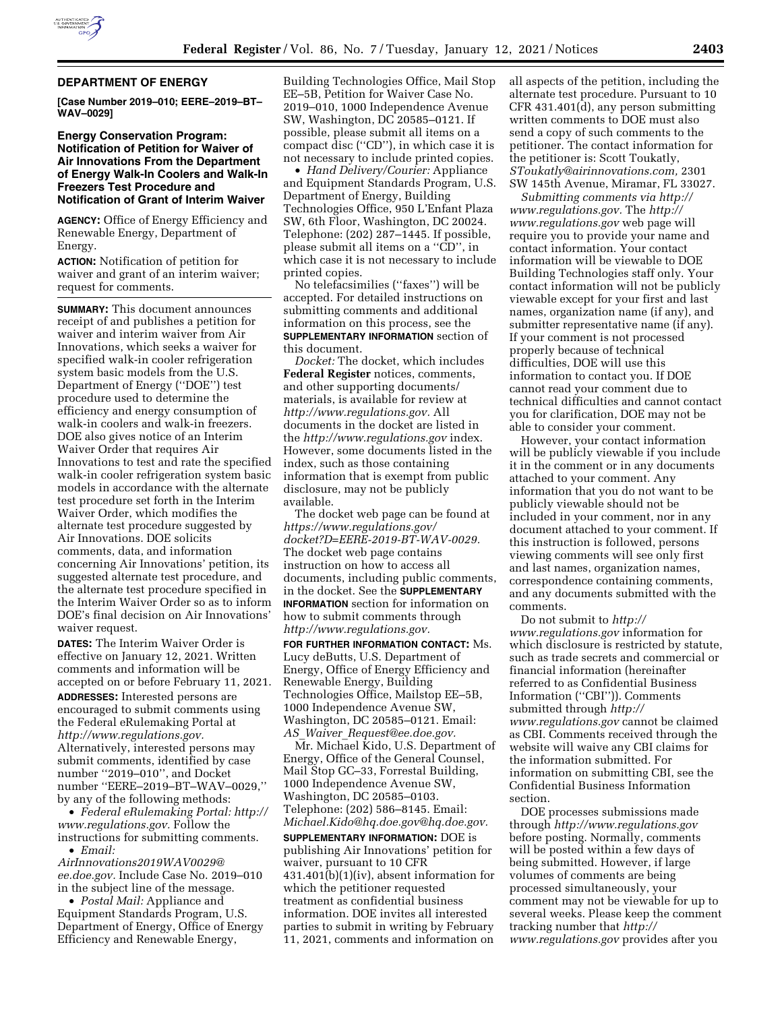

#### **DEPARTMENT OF ENERGY**

**[Case Number 2019–010; EERE–2019–BT– WAV–0029]** 

# **Energy Conservation Program: Notification of Petition for Waiver of Air Innovations From the Department of Energy Walk-In Coolers and Walk-In Freezers Test Procedure and Notification of Grant of Interim Waiver**

**AGENCY:** Office of Energy Efficiency and Renewable Energy, Department of Energy.

**ACTION:** Notification of petition for waiver and grant of an interim waiver; request for comments.

**SUMMARY:** This document announces receipt of and publishes a petition for waiver and interim waiver from Air Innovations, which seeks a waiver for specified walk-in cooler refrigeration system basic models from the U.S. Department of Energy (''DOE'') test procedure used to determine the efficiency and energy consumption of walk-in coolers and walk-in freezers. DOE also gives notice of an Interim Waiver Order that requires Air Innovations to test and rate the specified walk-in cooler refrigeration system basic models in accordance with the alternate test procedure set forth in the Interim Waiver Order, which modifies the alternate test procedure suggested by Air Innovations. DOE solicits comments, data, and information concerning Air Innovations' petition, its suggested alternate test procedure, and the alternate test procedure specified in the Interim Waiver Order so as to inform DOE's final decision on Air Innovations' waiver request.

**DATES:** The Interim Waiver Order is effective on January 12, 2021. Written comments and information will be accepted on or before February 11, 2021.

**ADDRESSES:** Interested persons are encouraged to submit comments using the Federal eRulemaking Portal at *[http://www.regulations.gov.](http://www.regulations.gov)*  Alternatively, interested persons may submit comments, identified by case number ''2019–010'', and Docket number ''EERE–2019–BT–WAV–0029,'' by any of the following methods:

• *Federal eRulemaking Portal: [http://](http://www.regulations.gov)  [www.regulations.gov.](http://www.regulations.gov)* Follow the instructions for submitting comments. • *Email:* 

*[AirInnovations2019WAV0029@](mailto:AirInnovations2019WAV0029@ee.doe.gov) [ee.doe.gov.](mailto:AirInnovations2019WAV0029@ee.doe.gov)* Include Case No. 2019–010 in the subject line of the message.

• *Postal Mail:* Appliance and Equipment Standards Program, U.S. Department of Energy, Office of Energy Efficiency and Renewable Energy,

Building Technologies Office, Mail Stop EE–5B, Petition for Waiver Case No. 2019–010, 1000 Independence Avenue SW, Washington, DC 20585–0121. If possible, please submit all items on a compact disc (''CD''), in which case it is not necessary to include printed copies.

• *Hand Delivery/Courier:* Appliance and Equipment Standards Program, U.S. Department of Energy, Building Technologies Office, 950 L'Enfant Plaza SW, 6th Floor, Washington, DC 20024. Telephone: (202) 287–1445. If possible, please submit all items on a ''CD'', in which case it is not necessary to include printed copies.

No telefacsimilies (''faxes'') will be accepted. For detailed instructions on submitting comments and additional information on this process, see the **SUPPLEMENTARY INFORMATION** section of this document.

*Docket:* The docket, which includes **Federal Register** notices, comments, and other supporting documents/ materials, is available for review at *[http://www.regulations.gov.](http://www.regulations.gov)* All documents in the docket are listed in the *<http://www.regulations.gov>*index. However, some documents listed in the index, such as those containing information that is exempt from public disclosure, may not be publicly available.

The docket web page can be found at *[https://www.regulations.gov/](https://www.regulations.gov/docket?D=EERE-2019-BT-WAV-0029)  [docket?D=EERE-2019-BT-WAV-0029.](https://www.regulations.gov/docket?D=EERE-2019-BT-WAV-0029)*  The docket web page contains instruction on how to access all documents, including public comments, in the docket. See the **SUPPLEMENTARY INFORMATION** section for information on how to submit comments through *[http://www.regulations.gov.](http://www.regulations.gov)* 

**FOR FURTHER INFORMATION CONTACT:** Ms. Lucy deButts, U.S. Department of Energy, Office of Energy Efficiency and Renewable Energy, Building Technologies Office, Mailstop EE–5B, 1000 Independence Avenue SW, Washington, DC 20585–0121. Email: *AS*\_*Waiver*\_*[Request@ee.doe.gov.](mailto:AS_Waiver_Request@ee.doe.gov)* 

Mr. Michael Kido, U.S. Department of Energy, Office of the General Counsel, Mail Stop GC–33, Forrestal Building, 1000 Independence Avenue SW, Washington, DC 20585–0103. Telephone: (202) 586–8145. Email: *[Michael.Kido@hq.doe.gov@hq.doe.gov.](mailto:Michael.Kido@hq.doe.gov)* 

**SUPPLEMENTARY INFORMATION:** DOE is publishing Air Innovations' petition for waiver, pursuant to 10 CFR 431.401(b)(1)(iv), absent information for which the petitioner requested treatment as confidential business information. DOE invites all interested parties to submit in writing by February 11, 2021, comments and information on

all aspects of the petition, including the alternate test procedure. Pursuant to 10 CFR 431.401(d), any person submitting written comments to DOE must also send a copy of such comments to the petitioner. The contact information for the petitioner is: Scott Toukatly, *[SToukatly@airinnovations.com,](mailto:SToukatly@airinnovations.com)* 2301 SW 145th Avenue, Miramar, FL 33027.

*Submitting comments via [http://](http://www.regulations.gov) [www.regulations.gov.](http://www.regulations.gov)* The *[http://](http://www.regulations.gov) [www.regulations.gov](http://www.regulations.gov)* web page will require you to provide your name and contact information. Your contact information will be viewable to DOE Building Technologies staff only. Your contact information will not be publicly viewable except for your first and last names, organization name (if any), and submitter representative name (if any). If your comment is not processed properly because of technical difficulties, DOE will use this information to contact you. If DOE cannot read your comment due to technical difficulties and cannot contact you for clarification, DOE may not be able to consider your comment.

However, your contact information will be publicly viewable if you include it in the comment or in any documents attached to your comment. Any information that you do not want to be publicly viewable should not be included in your comment, nor in any document attached to your comment. If this instruction is followed, persons viewing comments will see only first and last names, organization names, correspondence containing comments, and any documents submitted with the comments.

Do not submit to *[http://](http://www.regulations.gov) [www.regulations.gov](http://www.regulations.gov)* information for which disclosure is restricted by statute, such as trade secrets and commercial or financial information (hereinafter referred to as Confidential Business Information (''CBI'')). Comments submitted through *[http://](http://www.regulations.gov) [www.regulations.gov](http://www.regulations.gov)* cannot be claimed as CBI. Comments received through the website will waive any CBI claims for the information submitted. For information on submitting CBI, see the Confidential Business Information section.

DOE processes submissions made through *<http://www.regulations.gov>*  before posting. Normally, comments will be posted within a few days of being submitted. However, if large volumes of comments are being processed simultaneously, your comment may not be viewable for up to several weeks. Please keep the comment tracking number that *[http://](http://www.regulations.gov) [www.regulations.gov](http://www.regulations.gov)* provides after you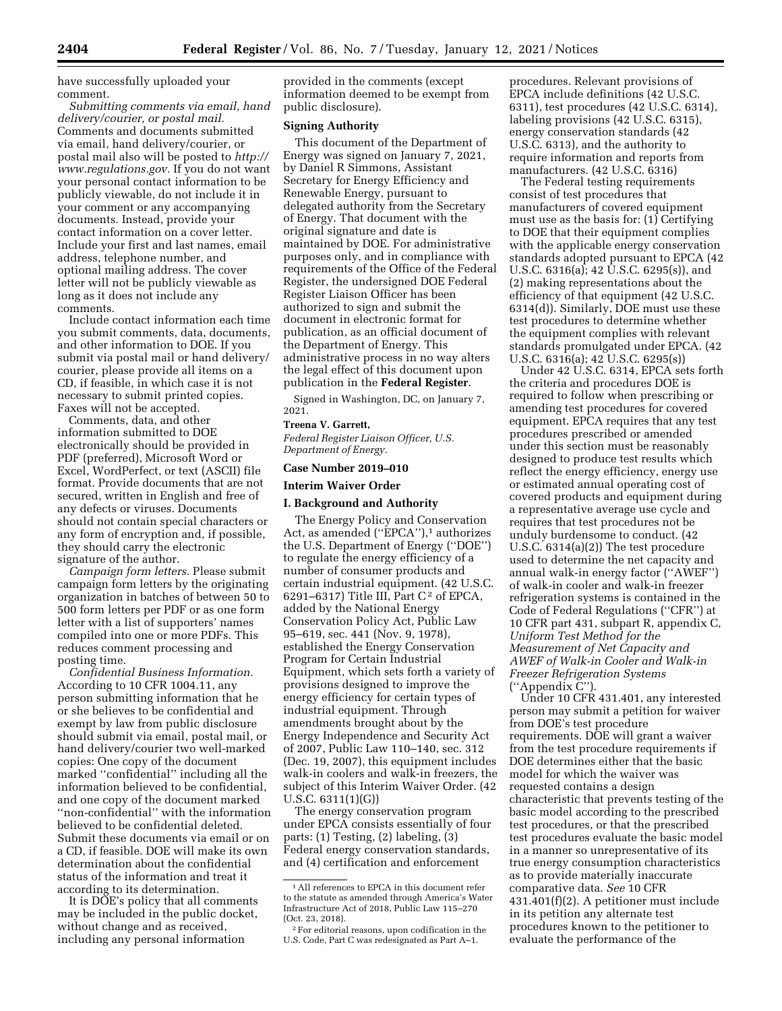have successfully uploaded your comment.

*Submitting comments via email, hand delivery/courier, or postal mail.*  Comments and documents submitted via email, hand delivery/courier, or postal mail also will be posted to *[http://](http://www.regulations.gov) [www.regulations.gov.](http://www.regulations.gov)* If you do not want your personal contact information to be publicly viewable, do not include it in your comment or any accompanying documents. Instead, provide your contact information on a cover letter. Include your first and last names, email address, telephone number, and optional mailing address. The cover letter will not be publicly viewable as long as it does not include any comments.

Include contact information each time you submit comments, data, documents, and other information to DOE. If you submit via postal mail or hand delivery/ courier, please provide all items on a CD, if feasible, in which case it is not necessary to submit printed copies. Faxes will not be accepted.

Comments, data, and other information submitted to DOE electronically should be provided in PDF (preferred), Microsoft Word or Excel, WordPerfect, or text (ASCII) file format. Provide documents that are not secured, written in English and free of any defects or viruses. Documents should not contain special characters or any form of encryption and, if possible, they should carry the electronic signature of the author.

*Campaign form letters.* Please submit campaign form letters by the originating organization in batches of between 50 to 500 form letters per PDF or as one form letter with a list of supporters' names compiled into one or more PDFs. This reduces comment processing and posting time.

*Confidential Business Information.*  According to 10 CFR 1004.11, any person submitting information that he or she believes to be confidential and exempt by law from public disclosure should submit via email, postal mail, or hand delivery/courier two well-marked copies: One copy of the document marked ''confidential'' including all the information believed to be confidential, and one copy of the document marked ''non-confidential'' with the information believed to be confidential deleted. Submit these documents via email or on a CD, if feasible. DOE will make its own determination about the confidential status of the information and treat it according to its determination.

It is DOE's policy that all comments may be included in the public docket, without change and as received, including any personal information

provided in the comments (except information deemed to be exempt from public disclosure).

#### **Signing Authority**

This document of the Department of Energy was signed on January 7, 2021, by Daniel R Simmons, Assistant Secretary for Energy Efficiency and Renewable Energy, pursuant to delegated authority from the Secretary of Energy. That document with the original signature and date is maintained by DOE. For administrative purposes only, and in compliance with requirements of the Office of the Federal Register, the undersigned DOE Federal Register Liaison Officer has been authorized to sign and submit the document in electronic format for publication, as an official document of the Department of Energy. This administrative process in no way alters the legal effect of this document upon publication in the **Federal Register**.

Signed in Washington, DC, on January 7, 2021.

### **Treena V. Garrett,**

*Federal Register Liaison Officer, U.S. Department of Energy.* 

### **Case Number 2019–010**

## **Interim Waiver Order**

## **I. Background and Authority**

The Energy Policy and Conservation Act, as amended ("EPCA"),<sup>1</sup> authorizes the U.S. Department of Energy (''DOE'') to regulate the energy efficiency of a number of consumer products and certain industrial equipment. (42 U.S.C. 6291–6317) Title III, Part  $C^2$  of EPCA, added by the National Energy Conservation Policy Act, Public Law 95–619, sec. 441 (Nov. 9, 1978), established the Energy Conservation Program for Certain Industrial Equipment, which sets forth a variety of provisions designed to improve the energy efficiency for certain types of industrial equipment. Through amendments brought about by the Energy Independence and Security Act of 2007, Public Law 110–140, sec. 312 (Dec. 19, 2007), this equipment includes walk-in coolers and walk-in freezers, the subject of this Interim Waiver Order. (42 U.S.C. 6311(1)(G))

The energy conservation program under EPCA consists essentially of four parts: (1) Testing, (2) labeling, (3) Federal energy conservation standards, and (4) certification and enforcement

procedures. Relevant provisions of EPCA include definitions (42 U.S.C. 6311), test procedures (42 U.S.C. 6314), labeling provisions (42 U.S.C. 6315), energy conservation standards (42 U.S.C. 6313), and the authority to require information and reports from manufacturers. (42 U.S.C. 6316)

The Federal testing requirements consist of test procedures that manufacturers of covered equipment must use as the basis for: (1) Certifying to DOE that their equipment complies with the applicable energy conservation standards adopted pursuant to EPCA (42 U.S.C. 6316(a); 42 U.S.C. 6295(s)), and (2) making representations about the efficiency of that equipment (42 U.S.C. 6314(d)). Similarly, DOE must use these test procedures to determine whether the equipment complies with relevant standards promulgated under EPCA. (42 U.S.C. 6316(a); 42 U.S.C. 6295(s))

Under 42 U.S.C. 6314, EPCA sets forth the criteria and procedures DOE is required to follow when prescribing or amending test procedures for covered equipment. EPCA requires that any test procedures prescribed or amended under this section must be reasonably designed to produce test results which reflect the energy efficiency, energy use or estimated annual operating cost of covered products and equipment during a representative average use cycle and requires that test procedures not be unduly burdensome to conduct. (42 U.S.C. 6314(a)(2)) The test procedure used to determine the net capacity and annual walk-in energy factor (''AWEF'') of walk-in cooler and walk-in freezer refrigeration systems is contained in the Code of Federal Regulations (''CFR'') at 10 CFR part 431, subpart R, appendix C, *Uniform Test Method for the Measurement of Net Capacity and AWEF of Walk-in Cooler and Walk-in Freezer Refrigeration Systems*  (''Appendix C'').

Under 10 CFR 431.401, any interested person may submit a petition for waiver from DOE's test procedure requirements. DOE will grant a waiver from the test procedure requirements if DOE determines either that the basic model for which the waiver was requested contains a design characteristic that prevents testing of the basic model according to the prescribed test procedures, or that the prescribed test procedures evaluate the basic model in a manner so unrepresentative of its true energy consumption characteristics as to provide materially inaccurate comparative data. *See* 10 CFR 431.401(f)(2). A petitioner must include in its petition any alternate test procedures known to the petitioner to evaluate the performance of the

<sup>1</sup>All references to EPCA in this document refer to the statute as amended through America's Water Infrastructure Act of 2018, Public Law 115–270 (Oct. 23, 2018).

<sup>2</sup>For editorial reasons, upon codification in the U.S. Code, Part C was redesignated as Part A–1.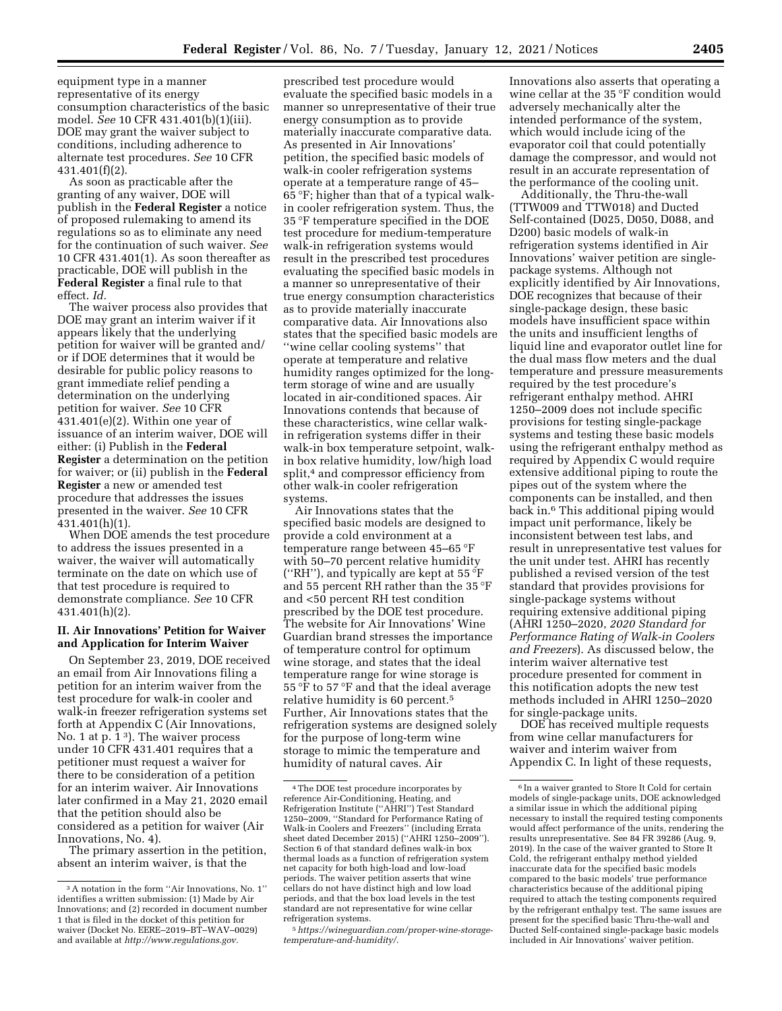equipment type in a manner representative of its energy consumption characteristics of the basic model. *See* 10 CFR 431.401(b)(1)(iii). DOE may grant the waiver subject to conditions, including adherence to alternate test procedures. *See* 10 CFR 431.401(f)(2).

As soon as practicable after the granting of any waiver, DOE will publish in the **Federal Register** a notice of proposed rulemaking to amend its regulations so as to eliminate any need for the continuation of such waiver. *See*  10 CFR 431.401(1). As soon thereafter as practicable, DOE will publish in the **Federal Register** a final rule to that effect. *Id.* 

The waiver process also provides that DOE may grant an interim waiver if it appears likely that the underlying petition for waiver will be granted and/ or if DOE determines that it would be desirable for public policy reasons to grant immediate relief pending a determination on the underlying petition for waiver. *See* 10 CFR  $431.401(e)(2)$ . Within one year of issuance of an interim waiver, DOE will either: (i) Publish in the **Federal Register** a determination on the petition for waiver; or (ii) publish in the **Federal Register** a new or amended test procedure that addresses the issues presented in the waiver. *See* 10 CFR 431.401(h)(1).

When DOE amends the test procedure to address the issues presented in a waiver, the waiver will automatically terminate on the date on which use of that test procedure is required to demonstrate compliance. *See* 10 CFR 431.401(h)(2).

# **II. Air Innovations' Petition for Waiver and Application for Interim Waiver**

On September 23, 2019, DOE received an email from Air Innovations filing a petition for an interim waiver from the test procedure for walk-in cooler and walk-in freezer refrigeration systems set forth at Appendix C (Air Innovations, No. 1 at p. 1 3). The waiver process under 10 CFR 431.401 requires that a petitioner must request a waiver for there to be consideration of a petition for an interim waiver. Air Innovations later confirmed in a May 21, 2020 email that the petition should also be considered as a petition for waiver (Air Innovations, No. 4).

The primary assertion in the petition, absent an interim waiver, is that the

prescribed test procedure would evaluate the specified basic models in a manner so unrepresentative of their true energy consumption as to provide materially inaccurate comparative data. As presented in Air Innovations' petition, the specified basic models of walk-in cooler refrigeration systems operate at a temperature range of 45– 65 °F; higher than that of a typical walkin cooler refrigeration system. Thus, the 35 °F temperature specified in the DOE test procedure for medium-temperature walk-in refrigeration systems would result in the prescribed test procedures evaluating the specified basic models in a manner so unrepresentative of their true energy consumption characteristics as to provide materially inaccurate comparative data. Air Innovations also states that the specified basic models are ''wine cellar cooling systems'' that operate at temperature and relative humidity ranges optimized for the longterm storage of wine and are usually located in air-conditioned spaces. Air Innovations contends that because of these characteristics, wine cellar walkin refrigeration systems differ in their walk-in box temperature setpoint, walkin box relative humidity, low/high load split,<sup>4</sup> and compressor efficiency from other walk-in cooler refrigeration systems.

Air Innovations states that the specified basic models are designed to provide a cold environment at a temperature range between 45–65 °F with 50–70 percent relative humidity ("RH"), and typically are kept at 55  $\mathrm{F}$ and 55 percent RH rather than the 35 °F and <50 percent RH test condition prescribed by the DOE test procedure. The website for Air Innovations' Wine Guardian brand stresses the importance of temperature control for optimum wine storage, and states that the ideal temperature range for wine storage is 55 °F to 57 °F and that the ideal average relative humidity is 60 percent.5 Further, Air Innovations states that the refrigeration systems are designed solely for the purpose of long-term wine storage to mimic the temperature and humidity of natural caves. Air

Innovations also asserts that operating a wine cellar at the 35 °F condition would adversely mechanically alter the intended performance of the system, which would include icing of the evaporator coil that could potentially damage the compressor, and would not result in an accurate representation of the performance of the cooling unit.

Additionally, the Thru-the-wall (TTW009 and TTW018) and Ducted Self-contained (D025, D050, D088, and D200) basic models of walk-in refrigeration systems identified in Air Innovations' waiver petition are singlepackage systems. Although not explicitly identified by Air Innovations, DOE recognizes that because of their single-package design, these basic models have insufficient space within the units and insufficient lengths of liquid line and evaporator outlet line for the dual mass flow meters and the dual temperature and pressure measurements required by the test procedure's refrigerant enthalpy method. AHRI 1250–2009 does not include specific provisions for testing single-package systems and testing these basic models using the refrigerant enthalpy method as required by Appendix C would require extensive additional piping to route the pipes out of the system where the components can be installed, and then back in.6 This additional piping would impact unit performance, likely be inconsistent between test labs, and result in unrepresentative test values for the unit under test. AHRI has recently published a revised version of the test standard that provides provisions for single-package systems without requiring extensive additional piping (AHRI 1250–2020, *2020 Standard for Performance Rating of Walk-in Coolers and Freezers*). As discussed below, the interim waiver alternative test procedure presented for comment in this notification adopts the new test methods included in AHRI 1250–2020 for single-package units.

DOE has received multiple requests from wine cellar manufacturers for waiver and interim waiver from Appendix C. In light of these requests,

<sup>3</sup>A notation in the form ''Air Innovations, No. 1'' identifies a written submission: (1) Made by Air Innovations; and (2) recorded in document number 1 that is filed in the docket of this petition for waiver (Docket No. EERE–2019–BT–WAV–0029) and available at *[http://www.regulations.gov.](http://www.regulations.gov)* 

<sup>4</sup>The DOE test procedure incorporates by reference Air-Conditioning, Heating, and Refrigeration Institute (''AHRI'') Test Standard 1250–2009, ''Standard for Performance Rating of Walk-in Coolers and Freezers'' (including Errata sheet dated December 2015) (''AHRI 1250–2009''). Section 6 of that standard defines walk-in box thermal loads as a function of refrigeration system net capacity for both high-load and low-load periods. The waiver petition asserts that wine cellars do not have distinct high and low load periods, and that the box load levels in the test standard are not representative for wine cellar refrigeration systems.

<sup>5</sup>*[https://wineguardian.com/proper-wine-storage](https://wineguardian.com/proper-wine-storage-temperature-and-humidity/)[temperature-and-humidity/](https://wineguardian.com/proper-wine-storage-temperature-and-humidity/)*.

<sup>6</sup> In a waiver granted to Store It Cold for certain models of single-package units, DOE acknowledged a similar issue in which the additional piping necessary to install the required testing components would affect performance of the units, rendering the results unrepresentative. See 84 FR 39286 (Aug. 9, 2019). In the case of the waiver granted to Store It Cold, the refrigerant enthalpy method yielded inaccurate data for the specified basic models compared to the basic models' true performance characteristics because of the additional piping required to attach the testing components required by the refrigerant enthalpy test. The same issues are present for the specified basic Thru-the-wall and Ducted Self-contained single-package basic models included in Air Innovations' waiver petition.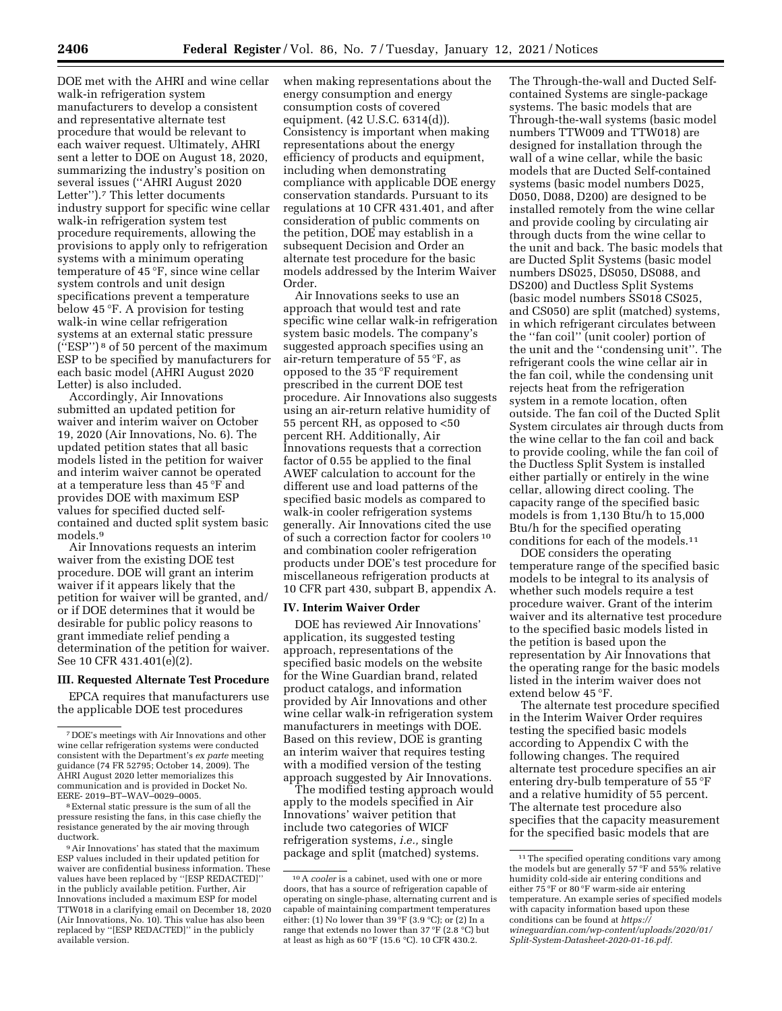DOE met with the AHRI and wine cellar walk-in refrigeration system manufacturers to develop a consistent and representative alternate test procedure that would be relevant to each waiver request. Ultimately, AHRI sent a letter to DOE on August 18, 2020, summarizing the industry's position on several issues (''AHRI August 2020 Letter'').7 This letter documents industry support for specific wine cellar walk-in refrigeration system test procedure requirements, allowing the provisions to apply only to refrigeration systems with a minimum operating temperature of 45 °F, since wine cellar system controls and unit design specifications prevent a temperature below 45 °F. A provision for testing walk-in wine cellar refrigeration systems at an external static pressure (''ESP'') 8 of 50 percent of the maximum ESP to be specified by manufacturers for each basic model (AHRI August 2020 Letter) is also included.

Accordingly, Air Innovations submitted an updated petition for waiver and interim waiver on October 19, 2020 (Air Innovations, No. 6). The updated petition states that all basic models listed in the petition for waiver and interim waiver cannot be operated at a temperature less than 45 °F and provides DOE with maximum ESP values for specified ducted selfcontained and ducted split system basic models.9

Air Innovations requests an interim waiver from the existing DOE test procedure. DOE will grant an interim waiver if it appears likely that the petition for waiver will be granted, and/ or if DOE determines that it would be desirable for public policy reasons to grant immediate relief pending a determination of the petition for waiver. See 10 CFR 431.401(e)(2).

#### **III. Requested Alternate Test Procedure**

EPCA requires that manufacturers use the applicable DOE test procedures

8External static pressure is the sum of all the pressure resisting the fans, in this case chiefly the resistance generated by the air moving through ductwork.

9Air Innovations' has stated that the maximum ESP values included in their updated petition for waiver are confidential business information. These values have been replaced by ''[ESP REDACTED]'' in the publicly available petition. Further, Air Innovations included a maximum ESP for model TTW018 in a clarifying email on December 18, 2020 (Air Innovations, No. 10). This value has also been replaced by ''[ESP REDACTED]'' in the publicly available version.

when making representations about the energy consumption and energy consumption costs of covered equipment. (42 U.S.C. 6314(d)). Consistency is important when making representations about the energy efficiency of products and equipment, including when demonstrating compliance with applicable DOE energy conservation standards. Pursuant to its regulations at 10 CFR 431.401, and after consideration of public comments on the petition, DOE may establish in a subsequent Decision and Order an alternate test procedure for the basic models addressed by the Interim Waiver Order.

Air Innovations seeks to use an approach that would test and rate specific wine cellar walk-in refrigeration system basic models. The company's suggested approach specifies using an air-return temperature of 55 °F, as opposed to the 35 °F requirement prescribed in the current DOE test procedure. Air Innovations also suggests using an air-return relative humidity of 55 percent RH, as opposed to <50 percent RH. Additionally, Air Innovations requests that a correction factor of 0.55 be applied to the final AWEF calculation to account for the different use and load patterns of the specified basic models as compared to walk-in cooler refrigeration systems generally. Air Innovations cited the use of such a correction factor for coolers 10 and combination cooler refrigeration products under DOE's test procedure for miscellaneous refrigeration products at 10 CFR part 430, subpart B, appendix A.

## **IV. Interim Waiver Order**

DOE has reviewed Air Innovations' application, its suggested testing approach, representations of the specified basic models on the website for the Wine Guardian brand, related product catalogs, and information provided by Air Innovations and other wine cellar walk-in refrigeration system manufacturers in meetings with DOE. Based on this review, DOE is granting an interim waiver that requires testing with a modified version of the testing approach suggested by Air Innovations.

The modified testing approach would apply to the models specified in Air Innovations' waiver petition that include two categories of WICF refrigeration systems, *i.e.,* single package and split (matched) systems.

The Through-the-wall and Ducted Selfcontained Systems are single-package systems. The basic models that are Through-the-wall systems (basic model numbers TTW009 and TTW018) are designed for installation through the wall of a wine cellar, while the basic models that are Ducted Self-contained systems (basic model numbers D025, D050, D088, D200) are designed to be installed remotely from the wine cellar and provide cooling by circulating air through ducts from the wine cellar to the unit and back. The basic models that are Ducted Split Systems (basic model numbers DS025, DS050, DS088, and DS200) and Ductless Split Systems (basic model numbers SS018 CS025, and CS050) are split (matched) systems, in which refrigerant circulates between the ''fan coil'' (unit cooler) portion of the unit and the ''condensing unit''. The refrigerant cools the wine cellar air in the fan coil, while the condensing unit rejects heat from the refrigeration system in a remote location, often outside. The fan coil of the Ducted Split System circulates air through ducts from the wine cellar to the fan coil and back to provide cooling, while the fan coil of the Ductless Split System is installed either partially or entirely in the wine cellar, allowing direct cooling. The capacity range of the specified basic models is from 1,130 Btu/h to 15,000 Btu/h for the specified operating conditions for each of the models.11

DOE considers the operating temperature range of the specified basic models to be integral to its analysis of whether such models require a test procedure waiver. Grant of the interim waiver and its alternative test procedure to the specified basic models listed in the petition is based upon the representation by Air Innovations that the operating range for the basic models listed in the interim waiver does not extend below 45 °F.

The alternate test procedure specified in the Interim Waiver Order requires testing the specified basic models according to Appendix C with the following changes. The required alternate test procedure specifies an air entering dry-bulb temperature of 55 °F and a relative humidity of 55 percent. The alternate test procedure also specifies that the capacity measurement for the specified basic models that are

<sup>7</sup> DOE's meetings with Air Innovations and other wine cellar refrigeration systems were conducted consistent with the Department's *ex parte* meeting guidance (74 FR 52795; October 14, 2009). The AHRI August 2020 letter memorializes this communication and is provided in Docket No. EERE- 2019–BT–WAV–0029–0005.

<sup>10</sup>A *cooler* is a cabinet, used with one or more doors, that has a source of refrigeration capable of operating on single-phase, alternating current and is capable of maintaining compartment temperatures either: (1) No lower than  $39^{\circ}$ F (3.9 °C); or (2) In a range that extends no lower than 37 °F (2.8 °C) but at least as high as 60 °F (15.6 °C). 10 CFR 430.2.

<sup>&</sup>lt;sup>11</sup>The specified operating conditions vary among the models but are generally 57 °F and 55% relative humidity cold-side air entering conditions and either 75 °F or 80 °F warm-side air entering temperature. An example series of specified models with capacity information based upon these conditions can be found at *[https://](https://wineguardian.com/wp-content/uploads/2020/01/Split-System-Datasheet-2020-01-16.pdf) [wineguardian.com/wp-content/uploads/2020/01/](https://wineguardian.com/wp-content/uploads/2020/01/Split-System-Datasheet-2020-01-16.pdf)  [Split-System-Datasheet-2020-01-16.pdf.](https://wineguardian.com/wp-content/uploads/2020/01/Split-System-Datasheet-2020-01-16.pdf)*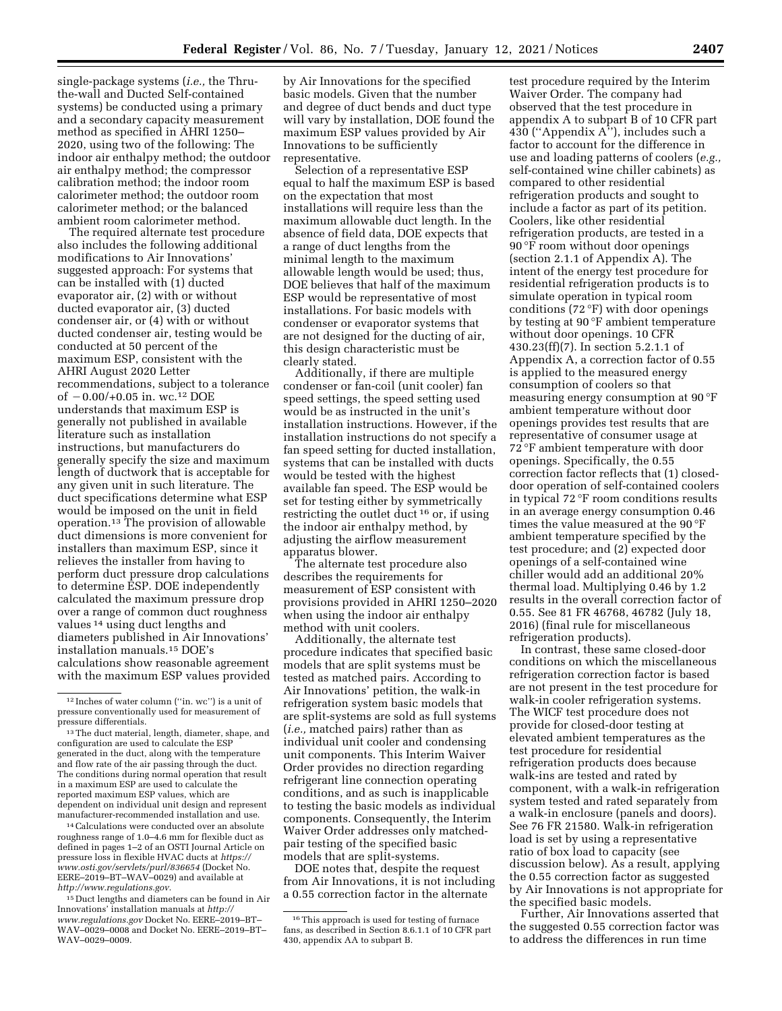single-package systems (*i.e.,* the Thruthe-wall and Ducted Self-contained systems) be conducted using a primary and a secondary capacity measurement method as specified in AHRI 1250– 2020, using two of the following: The indoor air enthalpy method; the outdoor air enthalpy method; the compressor calibration method; the indoor room calorimeter method; the outdoor room calorimeter method; or the balanced ambient room calorimeter method.

The required alternate test procedure also includes the following additional modifications to Air Innovations' suggested approach: For systems that can be installed with (1) ducted evaporator air, (2) with or without ducted evaporator air, (3) ducted condenser air, or (4) with or without ducted condenser air, testing would be conducted at 50 percent of the maximum ESP, consistent with the AHRI August 2020 Letter recommendations, subject to a tolerance of  $-0.00/+0.05$  in. wc.<sup>12</sup> DOE understands that maximum ESP is generally not published in available literature such as installation instructions, but manufacturers do generally specify the size and maximum length of ductwork that is acceptable for any given unit in such literature. The duct specifications determine what ESP would be imposed on the unit in field operation.13 The provision of allowable duct dimensions is more convenient for installers than maximum ESP, since it relieves the installer from having to perform duct pressure drop calculations to determine ESP. DOE independently calculated the maximum pressure drop over a range of common duct roughness values 14 using duct lengths and diameters published in Air Innovations' installation manuals.15 DOE's calculations show reasonable agreement with the maximum ESP values provided

14Calculations were conducted over an absolute roughness range of 1.0–4.6 mm for flexible duct as defined in pages 1–2 of an OSTI Journal Article on pressure loss in flexible HVAC ducts at *[https://](https://www.osti.gov/servlets/purl/836654) [www.osti.gov/servlets/purl/836654](https://www.osti.gov/servlets/purl/836654)* (Docket No. EERE–2019–BT–WAV–0029) and available at *[http://www.regulations.gov.](http://www.regulations.gov)* 

15 Duct lengths and diameters can be found in Air Innovations' installation manuals at *[http://](http://www.regulations.gov) [www.regulations.gov](http://www.regulations.gov)* Docket No. EERE–2019–BT– WAV–0029–0008 and Docket No. EERE–2019–BT– WAV–0029–0009.

by Air Innovations for the specified basic models. Given that the number and degree of duct bends and duct type will vary by installation, DOE found the maximum ESP values provided by Air Innovations to be sufficiently representative.

Selection of a representative ESP equal to half the maximum ESP is based on the expectation that most installations will require less than the maximum allowable duct length. In the absence of field data, DOE expects that a range of duct lengths from the minimal length to the maximum allowable length would be used; thus, DOE believes that half of the maximum ESP would be representative of most installations. For basic models with condenser or evaporator systems that are not designed for the ducting of air, this design characteristic must be clearly stated.

Additionally, if there are multiple condenser or fan-coil (unit cooler) fan speed settings, the speed setting used would be as instructed in the unit's installation instructions. However, if the installation instructions do not specify a fan speed setting for ducted installation, systems that can be installed with ducts would be tested with the highest available fan speed. The ESP would be set for testing either by symmetrically restricting the outlet duct 16 or, if using the indoor air enthalpy method, by adjusting the airflow measurement apparatus blower.

The alternate test procedure also describes the requirements for measurement of ESP consistent with provisions provided in AHRI 1250–2020 when using the indoor air enthalpy method with unit coolers.

Additionally, the alternate test procedure indicates that specified basic models that are split systems must be tested as matched pairs. According to Air Innovations' petition, the walk-in refrigeration system basic models that are split-systems are sold as full systems (*i.e.,* matched pairs) rather than as individual unit cooler and condensing unit components. This Interim Waiver Order provides no direction regarding refrigerant line connection operating conditions, and as such is inapplicable to testing the basic models as individual components. Consequently, the Interim Waiver Order addresses only matchedpair testing of the specified basic models that are split-systems.

DOE notes that, despite the request from Air Innovations, it is not including a 0.55 correction factor in the alternate

test procedure required by the Interim Waiver Order. The company had observed that the test procedure in appendix A to subpart B of 10 CFR part  $430$  ("Appendix A"), includes such a factor to account for the difference in use and loading patterns of coolers (*e.g.,*  self-contained wine chiller cabinets) as compared to other residential refrigeration products and sought to include a factor as part of its petition. Coolers, like other residential refrigeration products, are tested in a 90 °F room without door openings (section 2.1.1 of Appendix A). The intent of the energy test procedure for residential refrigeration products is to simulate operation in typical room conditions (72 $\degree$ F) with door openings by testing at 90 °F ambient temperature without door openings. 10 CFR 430.23(ff)(7). In section 5.2.1.1 of Appendix A, a correction factor of 0.55 is applied to the measured energy consumption of coolers so that measuring energy consumption at 90 °F ambient temperature without door openings provides test results that are representative of consumer usage at 72 °F ambient temperature with door openings. Specifically, the 0.55 correction factor reflects that (1) closeddoor operation of self-contained coolers in typical 72 °F room conditions results in an average energy consumption 0.46 times the value measured at the 90 °F ambient temperature specified by the test procedure; and (2) expected door openings of a self-contained wine chiller would add an additional 20% thermal load. Multiplying 0.46 by 1.2 results in the overall correction factor of 0.55. See 81 FR 46768, 46782 (July 18, 2016) (final rule for miscellaneous refrigeration products).

In contrast, these same closed-door conditions on which the miscellaneous refrigeration correction factor is based are not present in the test procedure for walk-in cooler refrigeration systems. The WICF test procedure does not provide for closed-door testing at elevated ambient temperatures as the test procedure for residential refrigeration products does because walk-ins are tested and rated by component, with a walk-in refrigeration system tested and rated separately from a walk-in enclosure (panels and doors). See 76 FR 21580. Walk-in refrigeration load is set by using a representative ratio of box load to capacity (see discussion below). As a result, applying the 0.55 correction factor as suggested by Air Innovations is not appropriate for the specified basic models.

Further, Air Innovations asserted that the suggested 0.55 correction factor was to address the differences in run time

<sup>12</sup> Inches of water column (''in. wc'') is a unit of pressure conventionally used for measurement of pressure differentials.

<sup>13</sup>The duct material, length, diameter, shape, and configuration are used to calculate the ESP generated in the duct, along with the temperature and flow rate of the air passing through the duct. The conditions during normal operation that result in a maximum ESP are used to calculate the reported maximum ESP values, which are dependent on individual unit design and represent manufacturer-recommended installation and use.

<sup>&</sup>lt;sup>16</sup>This approach is used for testing of furnace fans, as described in Section 8.6.1.1 of 10 CFR part 430, appendix AA to subpart B.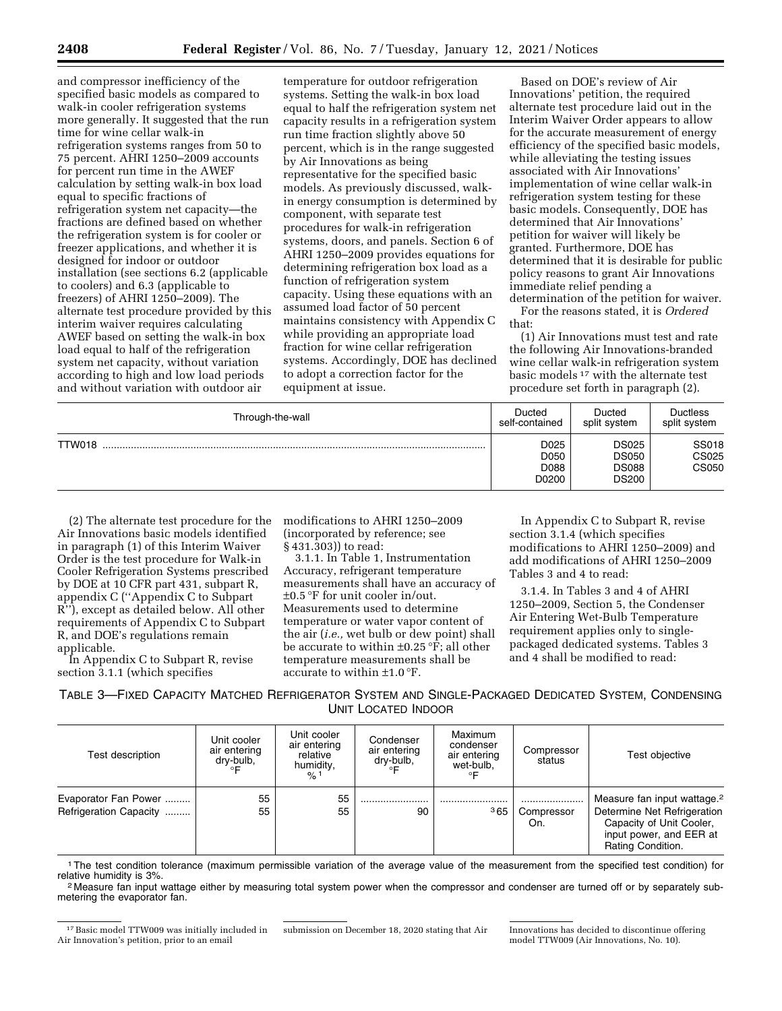and compressor inefficiency of the specified basic models as compared to walk-in cooler refrigeration systems more generally. It suggested that the run time for wine cellar walk-in refrigeration systems ranges from 50 to 75 percent. AHRI 1250–2009 accounts for percent run time in the AWEF calculation by setting walk-in box load equal to specific fractions of refrigeration system net capacity—the fractions are defined based on whether the refrigeration system is for cooler or freezer applications, and whether it is designed for indoor or outdoor installation (see sections 6.2 (applicable to coolers) and 6.3 (applicable to freezers) of AHRI 1250–2009). The alternate test procedure provided by this interim waiver requires calculating AWEF based on setting the walk-in box load equal to half of the refrigeration system net capacity, without variation according to high and low load periods and without variation with outdoor air

temperature for outdoor refrigeration systems. Setting the walk-in box load equal to half the refrigeration system net capacity results in a refrigeration system run time fraction slightly above 50 percent, which is in the range suggested by Air Innovations as being representative for the specified basic models. As previously discussed, walkin energy consumption is determined by component, with separate test procedures for walk-in refrigeration systems, doors, and panels. Section 6 of AHRI 1250–2009 provides equations for determining refrigeration box load as a function of refrigeration system capacity. Using these equations with an assumed load factor of 50 percent maintains consistency with Appendix C while providing an appropriate load fraction for wine cellar refrigeration systems. Accordingly, DOE has declined to adopt a correction factor for the equipment at issue.

Based on DOE's review of Air Innovations' petition, the required alternate test procedure laid out in the Interim Waiver Order appears to allow for the accurate measurement of energy efficiency of the specified basic models, while alleviating the testing issues associated with Air Innovations' implementation of wine cellar walk-in refrigeration system testing for these basic models. Consequently, DOE has determined that Air Innovations' petition for waiver will likely be granted. Furthermore, DOE has determined that it is desirable for public policy reasons to grant Air Innovations immediate relief pending a determination of the petition for waiver.

For the reasons stated, it is *Ordered*  that:

(1) Air Innovations must test and rate the following Air Innovations-branded wine cellar walk-in refrigeration system basic models 17 with the alternate test procedure set forth in paragraph (2).

| Through-the-wall | Ducted                        | Ducted                                                       | <b>Ductless</b>                |
|------------------|-------------------------------|--------------------------------------------------------------|--------------------------------|
|                  | self-contained                | split system                                                 | split system                   |
| TTW018           | D025<br>D050<br>D088<br>D0200 | <b>DS025</b><br><b>DS050</b><br><b>DS088</b><br><b>DS200</b> | <b>SS018</b><br>CS025<br>CS050 |

(2) The alternate test procedure for the Air Innovations basic models identified in paragraph (1) of this Interim Waiver Order is the test procedure for Walk-in Cooler Refrigeration Systems prescribed by DOE at 10 CFR part 431, subpart R, appendix C (''Appendix C to Subpart R''), except as detailed below. All other requirements of Appendix C to Subpart R, and DOE's regulations remain applicable.

In Appendix C to Subpart R, revise section 3.1.1 (which specifies

modifications to AHRI 1250–2009 (incorporated by reference; see § 431.303)) to read:

3.1.1. In Table 1, Instrumentation Accuracy, refrigerant temperature measurements shall have an accuracy of ±0.5 °F for unit cooler in/out. Measurements used to determine temperature or water vapor content of the air (*i.e.,* wet bulb or dew point) shall be accurate to within  $\pm 0.25$  °F; all other temperature measurements shall be accurate to within ±1.0 °F.

In Appendix C to Subpart R, revise section 3.1.4 (which specifies modifications to AHRI 1250–2009) and add modifications of AHRI 1250–2009 Tables 3 and 4 to read:

3.1.4. In Tables 3 and 4 of AHRI 1250–2009, Section 5, the Condenser Air Entering Wet-Bulb Temperature requirement applies only to singlepackaged dedicated systems. Tables 3 and 4 shall be modified to read:

TABLE 3—FIXED CAPACITY MATCHED REFRIGERATOR SYSTEM AND SINGLE-PACKAGED DEDICATED SYSTEM, CONDENSING UNIT LOCATED INDOOR

| Test description                               | Unit cooler<br>air entering<br>dry-bulb,<br>◦⊏ | Unit cooler<br>air entering<br>relative<br>humidity,<br>$\frac{9}{6}$ 1 | Condenser<br>air entering<br>dry-bulb,<br>$\circ$ | Maximum<br>condenser<br>air entering<br>wet-bulb,<br>∘⊏ | Compressor<br>status | Test objective                                                                                                                                     |
|------------------------------------------------|------------------------------------------------|-------------------------------------------------------------------------|---------------------------------------------------|---------------------------------------------------------|----------------------|----------------------------------------------------------------------------------------------------------------------------------------------------|
| Evaporator Fan Power<br>Refrigeration Capacity | 55<br>55                                       | 55<br>55                                                                | 90                                                | 365                                                     | Compressor<br>On.    | Measure fan input wattage. <sup>2</sup><br>Determine Net Refrigeration<br>Capacity of Unit Cooler,<br>input power, and EER at<br>Rating Condition. |

<sup>1</sup>The test condition tolerance (maximum permissible variation of the average value of the measurement from the specified test condition) for relative humidity is 3%.

<sup>2</sup> Measure fan input wattage either by measuring total system power when the compressor and condenser are turned off or by separately submetering the evaporator fan.

submission on December 18, 2020 stating that Air Innovations has decided to discontinue offering model TTW009 (Air Innovations, No. 10).

<sup>17</sup>Basic model TTW009 was initially included in Air Innovation's petition, prior to an email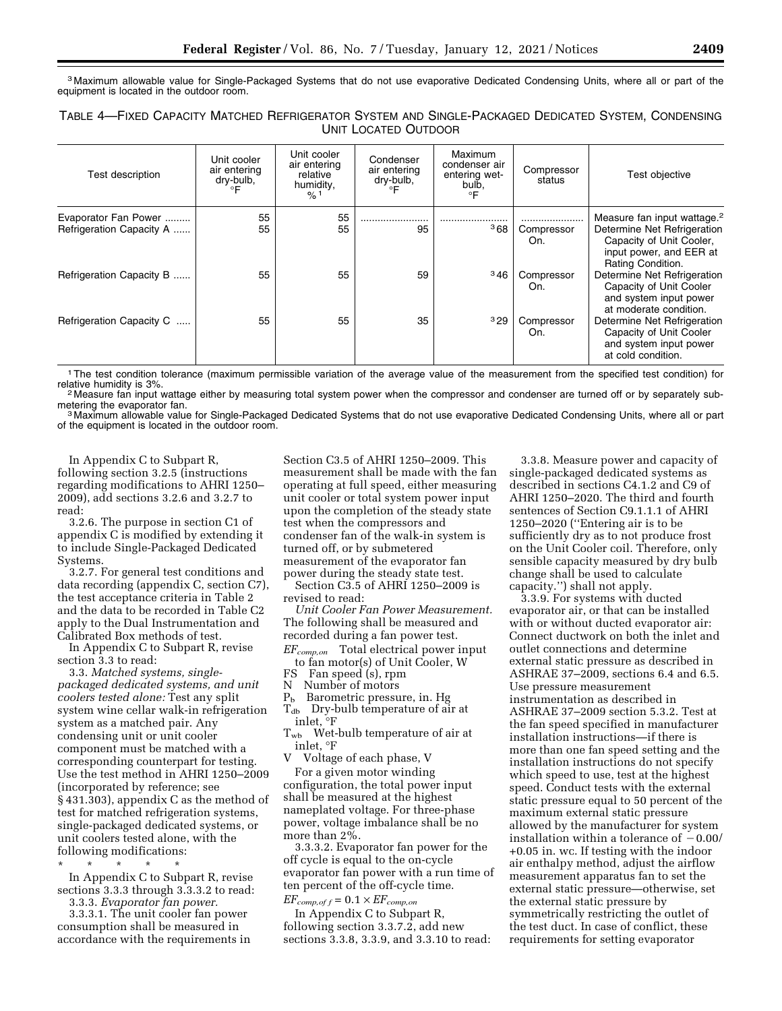3 Maximum allowable value for Single-Packaged Systems that do not use evaporative Dedicated Condensing Units, where all or part of the equipment is located in the outdoor room.

| TABLE 4-FIXED CAPACITY MATCHED REFRIGERATOR SYSTEM AND SINGLE-PACKAGED DEDICATED SYSTEM, CONDENSING |  |
|-----------------------------------------------------------------------------------------------------|--|
| <b>UNIT LOCATED OUTDOOR</b>                                                                         |  |

| Test description                                 | Unit cooler<br>air entering<br>dry-bulb,<br>°F | Unit cooler<br>air entering<br>relative<br>humidity,<br>$\frac{9}{6}$ 1 | Condenser<br>air entering<br>dry-bulb,<br>∘F | Maximum<br>condenser air<br>entering wet-<br>bulb,<br>°F | Compressor<br>status | Test objective                                                                                                                                     |
|--------------------------------------------------|------------------------------------------------|-------------------------------------------------------------------------|----------------------------------------------|----------------------------------------------------------|----------------------|----------------------------------------------------------------------------------------------------------------------------------------------------|
| Evaporator Fan Power<br>Refrigeration Capacity A | 55<br>55                                       | 55<br>55                                                                | 95                                           | 368                                                      | Compressor<br>On.    | Measure fan input wattage. <sup>2</sup><br>Determine Net Refrigeration<br>Capacity of Unit Cooler,<br>input power, and EER at<br>Rating Condition. |
| Refrigeration Capacity B                         | 55                                             | 55                                                                      | 59                                           | 346                                                      | Compressor<br>On.    | Determine Net Refrigeration<br>Capacity of Unit Cooler<br>and system input power<br>at moderate condition.                                         |
| Refrigeration Capacity C                         | 55                                             | 55                                                                      | 35                                           | 329                                                      | Compressor<br>On.    | Determine Net Refrigeration<br>Capacity of Unit Cooler<br>and system input power<br>at cold condition.                                             |

<sup>1</sup>The test condition tolerance (maximum permissible variation of the average value of the measurement from the specified test condition) for relative humidity is 3%.

<sup>2</sup> Measure fan input wattage either by measuring total system power when the compressor and condenser are turned off or by separately sub-

metering the evaporator fan.<br>3 Maximum allowable value for Single-Packaged Dedicated Systems that do not use evaporative Dedicated Condensing Units, where all or part of the equipment is located in the outdoor room.

In Appendix C to Subpart R, following section 3.2.5 (instructions regarding modifications to AHRI 1250– 2009), add sections 3.2.6 and 3.2.7 to read:

3.2.6. The purpose in section C1 of appendix C is modified by extending it to include Single-Packaged Dedicated Systems.

3.2.7. For general test conditions and data recording (appendix C, section C7), the test acceptance criteria in Table 2 and the data to be recorded in Table C2 apply to the Dual Instrumentation and Calibrated Box methods of test.

In Appendix C to Subpart R, revise section 3.3 to read:

3.3. *Matched systems, singlepackaged dedicated systems, and unit coolers tested alone:* Test any split system wine cellar walk-in refrigeration system as a matched pair. Any condensing unit or unit cooler component must be matched with a corresponding counterpart for testing. Use the test method in AHRI 1250–2009 (incorporated by reference; see § 431.303), appendix C as the method of test for matched refrigeration systems, single-packaged dedicated systems, or unit coolers tested alone, with the following modifications:

\* \* \* \* \* In Appendix C to Subpart R, revise sections 3.3.3 through 3.3.3.2 to read: 3.3.3. *Evaporator fan power.* 

3.3.3.1. The unit cooler fan power consumption shall be measured in accordance with the requirements in

Section C3.5 of AHRI 1250–2009. This measurement shall be made with the fan operating at full speed, either measuring unit cooler or total system power input upon the completion of the steady state test when the compressors and condenser fan of the walk-in system is turned off, or by submetered measurement of the evaporator fan power during the steady state test.

Section C3.5 of AHRI 1250–2009 is revised to read:

*Unit Cooler Fan Power Measurement.*  The following shall be measured and recorded during a fan power test.

*EFcomp,on* Total electrical power input to fan motor(s) of Unit Cooler, W

FS Fan speed (s), rpm<br>N Number of motors

Number of motors

 $P<sub>b</sub>$  Barometric pressure, in. Hg  $T_{db}$  Dry-bulb temperature of air at inlet, °F

 $T_{wb}$  Wet-bulb temperature of air at inlet, °F<br>V Voltage

V Voltage of each phase, V

For a given motor winding configuration, the total power input shall be measured at the highest nameplated voltage. For three-phase power, voltage imbalance shall be no more than 2%.

3.3.3.2. Evaporator fan power for the off cycle is equal to the on-cycle evaporator fan power with a run time of ten percent of the off-cycle time.

 $EF_{comp, of f} = 0.1 \times EF_{comp, on}$ In Appendix C to Subpart R,

following section 3.3.7.2, add new sections 3.3.8, 3.3.9, and 3.3.10 to read:

3.3.8. Measure power and capacity of single-packaged dedicated systems as described in sections C4.1.2 and C9 of AHRI 1250–2020. The third and fourth sentences of Section C9.1.1.1 of AHRI 1250–2020 (''Entering air is to be sufficiently dry as to not produce frost on the Unit Cooler coil. Therefore, only sensible capacity measured by dry bulb change shall be used to calculate capacity.'') shall not apply.

3.3.9. For systems with ducted evaporator air, or that can be installed with or without ducted evaporator air: Connect ductwork on both the inlet and outlet connections and determine external static pressure as described in ASHRAE 37–2009, sections 6.4 and 6.5. Use pressure measurement instrumentation as described in ASHRAE 37–2009 section 5.3.2. Test at the fan speed specified in manufacturer installation instructions—if there is more than one fan speed setting and the installation instructions do not specify which speed to use, test at the highest speed. Conduct tests with the external static pressure equal to 50 percent of the maximum external static pressure allowed by the manufacturer for system installation within a tolerance of  $-0.00/$ +0.05 in. wc. If testing with the indoor air enthalpy method, adjust the airflow measurement apparatus fan to set the external static pressure—otherwise, set the external static pressure by symmetrically restricting the outlet of the test duct. In case of conflict, these requirements for setting evaporator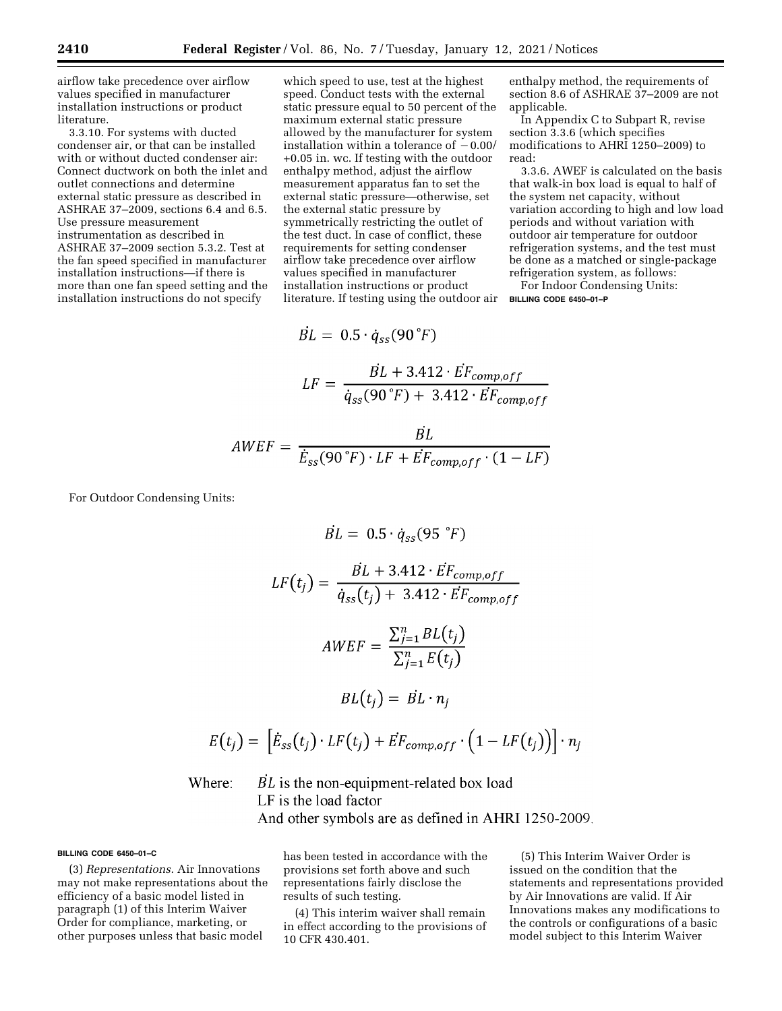airflow take precedence over airflow values specified in manufacturer installation instructions or product literature.

3.3.10. For systems with ducted condenser air, or that can be installed with or without ducted condenser air: Connect ductwork on both the inlet and outlet connections and determine external static pressure as described in ASHRAE 37–2009, sections 6.4 and 6.5. Use pressure measurement instrumentation as described in ASHRAE 37–2009 section 5.3.2. Test at the fan speed specified in manufacturer installation instructions—if there is more than one fan speed setting and the installation instructions do not specify

which speed to use, test at the highest speed. Conduct tests with the external static pressure equal to 50 percent of the maximum external static pressure allowed by the manufacturer fo installation within a tolerance  $+0.05$  in. wc. If testing with the enthalpy method, adjust the airflow measurement apparatus fan to set the external static pressure—otherwise, set the external static pressure by symmetrically restricting the outlet of the test duct. In case of conflict, these requirements for setting condenser airflow take precedence over airflow values specified in manufacturer installation instructions or product literature. If testing using the outdoor air

Here, the appropriate expression of the appropriate function 
$$
A
$$
 and  $B$  are given as follows:

\n\n- 1. A (which specifies the specified function) and the equation  $B$  and the equation  $B$  and the equation  $B$  and the equation  $B$  and the equation  $B$  and the equation  $B$  and the equation  $B$  and the equation  $B$  and the equation  $B$  and the equation  $B$  and the equation  $B$  and the equation  $B$  and the equation  $B$  and the equation  $B$  and the equation  $B$  and the equation  $B$  and the equation  $B$  and the equation  $B$  and the equation  $B$  and the equation  $B$  and the equation  $B$  and the equation  $B$  and the equation  $B$  and the equation  $B$  and the equation  $B$  and the equation  $B$  and the equation  $B$  and the equation  $B$  and the equation  $B$  and the equation  $B$  and the equation  $B$  and the equation  $B$  and the equation  $B$  and the equation  $B$  and the equation  $B$  and the equation  $B$  and the equation  $B$  and the equation  $B$  and the equation  $B$  and the equation  $B$  and the equation  $B$  and the equation  $B$  and the equation  $B$  and the equation  $B$  and the equation  $B$  and the equation  $B$  and the equation  $B$  and the equation  $B$  and the equation  $B$  and the equation  $B$  and the equation  $B$  and the equation  $B$  and the equation  $B$  and the equation  $B$  and the equation  $B$  and the equation  $B$  and the equation  $B$  and the equation  $B$  and the equation  $B$  and the equation  $B$  and the equation  $B$  and the equation  $B$  and the equation  $B$  and the equation  $B$  and the equation  $B$  and the equation  $B$  and the equation  $B$  and the equation  $B$  and the equation  $B$  and the equation  $B$  and the equation  $B$  and the equation  $B$  and the equation  $B$  and the equation  $B$  and the equation  $B$  and the equation  $B$  and the equation  $B$  and the equation  $B$  and the equation  $B$  and the equation  $B$

applicable.

3.3.6. AWEF is calculated on the basis that walk-in box load is equal to half of the system net capacity, without variation according to high and low load periods and without variation with outdoor air temperature for outdoor refrigeration systems, and the test must be done as a matched or single-package refrigeration system, as follows:

enthalpy method, the requirements of section 8.6 of ASHRAE 37–2009 are not

For Indoor Condensing Units: **BILLING CODE 6450–01–P** 

$$
\begin{aligned} \n\dot{BL} &= 0.5 \cdot \dot{q}_{ss} (90 \text{ }^{\circ}F) \\ \nLF &= \frac{\dot{BL} + 3.412 \cdot \dot{EF}_{comp,off}}{\dot{q}_{ss} (90 \text{ }^{\circ}F) + 3.412 \cdot \dot{EF}_{comp,off}} \n\end{aligned}
$$

$$
AWEF = \frac{BL}{\dot{E}_{ss}(90°F) \cdot LF + \dot{EF}_{comp,off} \cdot (1 - LF)}
$$

For Outdoor Condensing Units:

$$
\dot{BL} = 0.5 \cdot \dot{q}_{ss}(95 \text{ }^{\circ}F)
$$
\n
$$
LF(t_j) = \frac{\dot{BL} + 3.412 \cdot \dot{EF}_{comp,off}}{\dot{q}_{ss}(t_j) + 3.412 \cdot \dot{EF}_{comp,off}}
$$
\n
$$
AWEF = \frac{\sum_{j=1}^{n} BL(t_j)}{\sum_{j=1}^{n} E(t_j)}
$$
\n
$$
BL(t_j) = \dot{BL} \cdot n_j
$$
\n
$$
E(t_j) = \left[\dot{E}_{ss}(t_j) \cdot LF(t_j) + \dot{EF}_{comp,off} \cdot \left(1 - LF(t_j)\right)\right] \cdot n_j
$$

 $BL$  is the non-equipment-related box load LF is the load factor And other symbols are as defined in AHRI 1250-2009.

### **BILLING CODE 6450–01–C**

(3) *Representations.* Air Innovations may not make representations about the efficiency of a basic model listed in paragraph (1) of this Interim Waiver Order for compliance, marketing, or other purposes unless that basic model

has been tested in accordance with the provisions set forth above and such representations fairly disclose the results of such testing.

(4) This interim waiver shall remain in effect according to the provisions of 10 CFR 430.401.

(5) This Interim Waiver Order is issued on the condition that the statements and representations provided by Air Innovations are valid. If Air Innovations makes any modifications to the controls or configurations of a basic model subject to this Interim Waiver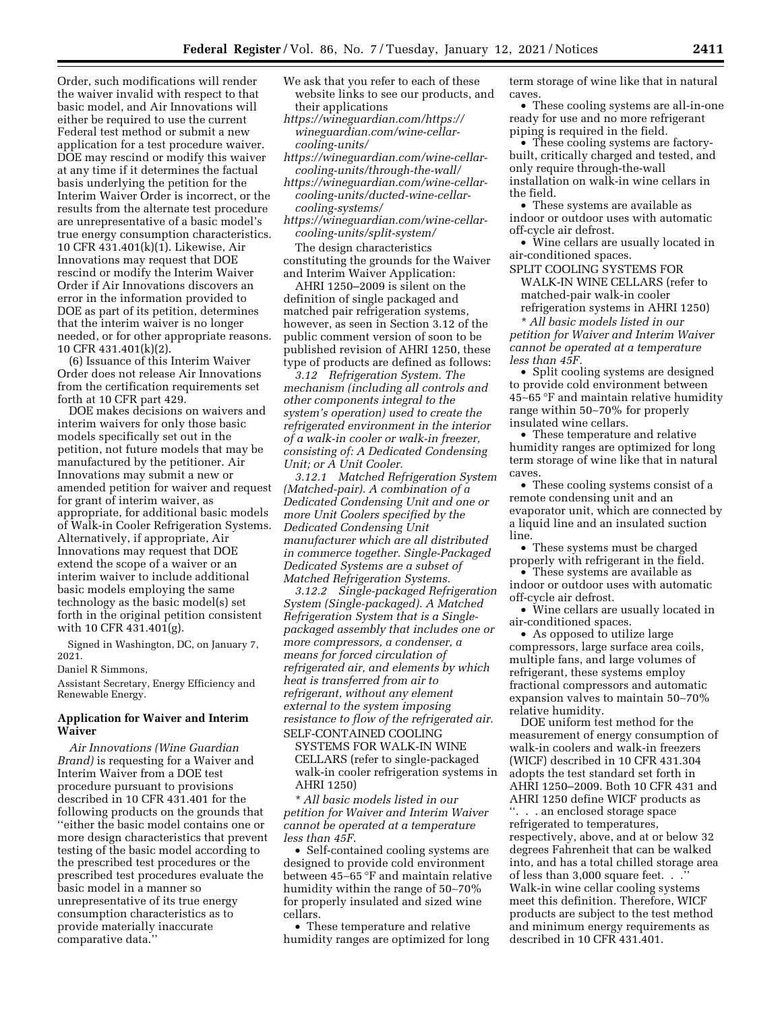Order, such modifications will render the waiver invalid with respect to that basic model, and Air Innovations will either be required to use the current Federal test method or submit a new application for a test procedure waiver. DOE may rescind or modify this waiver at any time if it determines the factual basis underlying the petition for the Interim Waiver Order is incorrect, or the results from the alternate test procedure are unrepresentative of a basic model's true energy consumption characteristics. 10 CFR 431.401(k)(1). Likewise, Air Innovations may request that DOE rescind or modify the Interim Waiver Order if Air Innovations discovers an error in the information provided to DOE as part of its petition, determines that the interim waiver is no longer needed, or for other appropriate reasons. 10 CFR 431.401(k)(2).

(6) Issuance of this Interim Waiver Order does not release Air Innovations from the certification requirements set forth at 10 CFR part 429.

DOE makes decisions on waivers and interim waivers for only those basic models specifically set out in the petition, not future models that may be manufactured by the petitioner. Air Innovations may submit a new or amended petition for waiver and request for grant of interim waiver, as appropriate, for additional basic models of Walk-in Cooler Refrigeration Systems. Alternatively, if appropriate, Air Innovations may request that DOE extend the scope of a waiver or an interim waiver to include additional basic models employing the same technology as the basic model(s) set forth in the original petition consistent with 10 CFR 431.401(g).

Signed in Washington, DC, on January 7, 2021.

#### Daniel R Simmons,

Assistant Secretary, Energy Efficiency and Renewable Energy.

# **Application for Waiver and Interim Waiver**

*Air Innovations (Wine Guardian Brand)* is requesting for a Waiver and Interim Waiver from a DOE test procedure pursuant to provisions described in 10 CFR 431.401 for the following products on the grounds that ''either the basic model contains one or more design characteristics that prevent testing of the basic model according to the prescribed test procedures or the prescribed test procedures evaluate the basic model in a manner so unrepresentative of its true energy consumption characteristics as to provide materially inaccurate comparative data.''

- We ask that you refer to each of these website links to see our products, and their applications
- *<https://wineguardian.com/>[https://](https://wineguardian.com/wine-cellar-cooling-units/) [wineguardian.com/wine-cellar](https://wineguardian.com/wine-cellar-cooling-units/)[cooling-units/](https://wineguardian.com/wine-cellar-cooling-units/)*
- *[https://wineguardian.com/wine-cellar](https://wineguardian.com/wine-cellar-cooling-units/through-the-wall/)[cooling-units/through-the-wall/](https://wineguardian.com/wine-cellar-cooling-units/through-the-wall/)*

*[https://wineguardian.com/wine-cellar](https://wineguardian.com/wine-cellar-cooling-units/ducted-wine-cellar-cooling-systems/)[cooling-units/ducted-wine-cellar](https://wineguardian.com/wine-cellar-cooling-units/ducted-wine-cellar-cooling-systems/)[cooling-systems/](https://wineguardian.com/wine-cellar-cooling-units/ducted-wine-cellar-cooling-systems/)* 

*[https://wineguardian.com/wine-cellar](https://wineguardian.com/wine-cellar-cooling-units/split-system/)[cooling-units/split-system/](https://wineguardian.com/wine-cellar-cooling-units/split-system/)*  The design characteristics constituting the grounds for the Waiver

and Interim Waiver Application:

AHRI 1250–2009 is silent on the definition of single packaged and matched pair refrigeration systems, however, as seen in Section 3.12 of the public comment version of soon to be published revision of AHRI 1250, these type of products are defined as follows:

*3.12 Refrigeration System. The mechanism (including all controls and other components integral to the system's operation) used to create the refrigerated environment in the interior of a walk-in cooler or walk-in freezer, consisting of: A Dedicated Condensing Unit; or A Unit Cooler.* 

*3.12.1 Matched Refrigeration System (Matched-pair). A combination of a Dedicated Condensing Unit and one or more Unit Coolers specified by the Dedicated Condensing Unit manufacturer which are all distributed in commerce together. Single-Packaged Dedicated Systems are a subset of Matched Refrigeration Systems.* 

*3.12.2 Single-packaged Refrigeration System (Single-packaged). A Matched Refrigeration System that is a Singlepackaged assembly that includes one or more compressors, a condenser, a means for forced circulation of refrigerated air, and elements by which heat is transferred from air to refrigerant, without any element external to the system imposing resistance to flow of the refrigerated air.*  SELF-CONTAINED COOLING

SYSTEMS FOR WALK-IN WINE CELLARS (refer to single-packaged walk-in cooler refrigeration systems in AHRI 1250)

\* *All basic models listed in our petition for Waiver and Interim Waiver cannot be operated at a temperature less than 45F*.

• Self-contained cooling systems are designed to provide cold environment between 45∼65 °F and maintain relative humidity within the range of 50∼70% for properly insulated and sized wine cellars.

• These temperature and relative humidity ranges are optimized for long

term storage of wine like that in natural caves.

• These cooling systems are all-in-one ready for use and no more refrigerant piping is required in the field.

• These cooling systems are factorybuilt, critically charged and tested, and only require through-the-wall installation on walk-in wine cellars in the field.

• These systems are available as indoor or outdoor uses with automatic off-cycle air defrost.

• Wine cellars are usually located in air-conditioned spaces.

SPLIT COOLING SYSTEMS FOR WALK-IN WINE CELLARS (refer to matched-pair walk-in cooler refrigeration systems in AHRI 1250)

\* *All basic models listed in our petition for Waiver and Interim Waiver cannot be operated at a temperature less than 45F.* 

• Split cooling systems are designed to provide cold environment between 45∼65 °F and maintain relative humidity range within 50∼70% for properly insulated wine cellars.

• These temperature and relative humidity ranges are optimized for long term storage of wine like that in natural caves.

• These cooling systems consist of a remote condensing unit and an evaporator unit, which are connected by a liquid line and an insulated suction line.

• These systems must be charged properly with refrigerant in the field.

• These systems are available as indoor or outdoor uses with automatic off-cycle air defrost.

• Wine cellars are usually located in air-conditioned spaces.

• As opposed to utilize large compressors, large surface area coils, multiple fans, and large volumes of refrigerant, these systems employ fractional compressors and automatic expansion valves to maintain 50∼70% relative humidity.

DOE uniform test method for the measurement of energy consumption of walk-in coolers and walk-in freezers (WICF) described in 10 CFR 431.304 adopts the test standard set forth in AHRI 1250–2009. Both 10 CFR 431 and AHRI 1250 define WICF products as ''. . . an enclosed storage space refrigerated to temperatures, respectively, above, and at or below 32 degrees Fahrenheit that can be walked into, and has a total chilled storage area of less than 3,000 square feet. . . Walk-in wine cellar cooling systems meet this definition. Therefore, WICF products are subject to the test method and minimum energy requirements as described in 10 CFR 431.401.